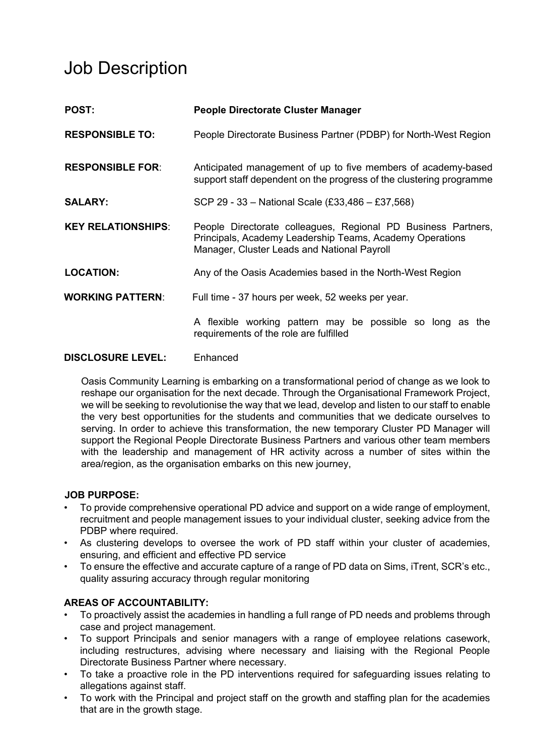# Job Description

| <b>POST:</b>              | People Directorate Cluster Manager                                                                                                                                       |  |
|---------------------------|--------------------------------------------------------------------------------------------------------------------------------------------------------------------------|--|
| <b>RESPONSIBLE TO:</b>    | People Directorate Business Partner (PDBP) for North-West Region                                                                                                         |  |
| <b>RESPONSIBLE FOR:</b>   | Anticipated management of up to five members of academy-based<br>support staff dependent on the progress of the clustering programme                                     |  |
| <b>SALARY:</b>            | SCP 29 - 33 - National Scale (£33,486 - £37,568)                                                                                                                         |  |
| <b>KEY RELATIONSHIPS:</b> | People Directorate colleagues, Regional PD Business Partners,<br>Principals, Academy Leadership Teams, Academy Operations<br>Manager, Cluster Leads and National Payroll |  |
| <b>LOCATION:</b>          | Any of the Oasis Academies based in the North-West Region                                                                                                                |  |
| <b>WORKING PATTERN:</b>   | Full time - 37 hours per week, 52 weeks per year.                                                                                                                        |  |
|                           | A flexible working pattern may be possible so long as the<br>requirements of the role are fulfilled                                                                      |  |

#### **DISCLOSURE LEVEL:** Enhanced

 Oasis Community Learning is embarking on a transformational period of change as we look to reshape our organisation for the next decade. Through the Organisational Framework Project, we will be seeking to revolutionise the way that we lead, develop and listen to our staff to enable the very best opportunities for the students and communities that we dedicate ourselves to serving. In order to achieve this transformation, the new temporary Cluster PD Manager will support the Regional People Directorate Business Partners and various other team members with the leadership and management of HR activity across a number of sites within the area/region, as the organisation embarks on this new journey,

#### **JOB PURPOSE:**

- To provide comprehensive operational PD advice and support on a wide range of employment, recruitment and people management issues to your individual cluster, seeking advice from the PDBP where required.
- As clustering develops to oversee the work of PD staff within your cluster of academies, ensuring, and efficient and effective PD service
- To ensure the effective and accurate capture of a range of PD data on Sims, iTrent, SCR's etc., quality assuring accuracy through regular monitoring

# **AREAS OF ACCOUNTABILITY:**

- To proactively assist the academies in handling a full range of PD needs and problems through case and project management.
- To support Principals and senior managers with a range of employee relations casework, including restructures, advising where necessary and liaising with the Regional People Directorate Business Partner where necessary.
- To take a proactive role in the PD interventions required for safeguarding issues relating to allegations against staff.
- To work with the Principal and project staff on the growth and staffing plan for the academies that are in the growth stage.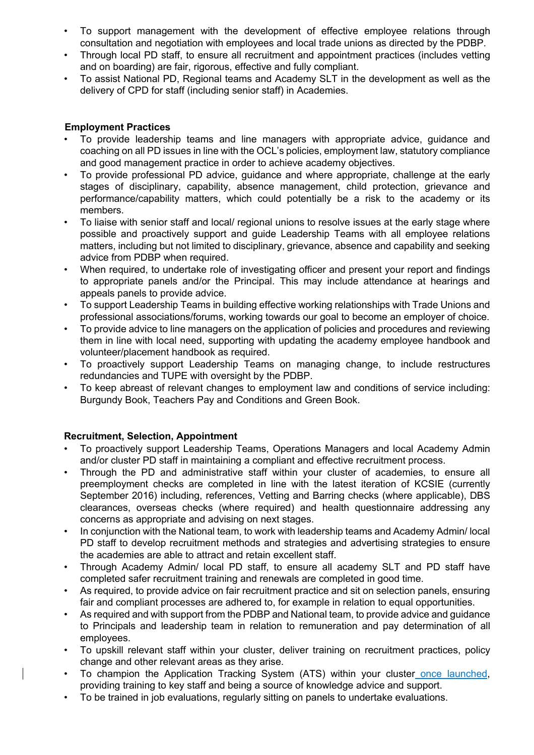- To support management with the development of effective employee relations through consultation and negotiation with employees and local trade unions as directed by the PDBP.
- Through local PD staff, to ensure all recruitment and appointment practices (includes vetting and on boarding) are fair, rigorous, effective and fully compliant.
- To assist National PD, Regional teams and Academy SLT in the development as well as the delivery of CPD for staff (including senior staff) in Academies.

## **Employment Practices**

- To provide leadership teams and line managers with appropriate advice, guidance and coaching on all PD issues in line with the OCL's policies, employment law, statutory compliance and good management practice in order to achieve academy objectives.
- To provide professional PD advice, guidance and where appropriate, challenge at the early stages of disciplinary, capability, absence management, child protection, grievance and performance/capability matters, which could potentially be a risk to the academy or its members.
- To liaise with senior staff and local/ regional unions to resolve issues at the early stage where possible and proactively support and guide Leadership Teams with all employee relations matters, including but not limited to disciplinary, grievance, absence and capability and seeking advice from PDBP when required.
- When required, to undertake role of investigating officer and present your report and findings to appropriate panels and/or the Principal. This may include attendance at hearings and appeals panels to provide advice.
- To support Leadership Teams in building effective working relationships with Trade Unions and professional associations/forums, working towards our goal to become an employer of choice.
- To provide advice to line managers on the application of policies and procedures and reviewing them in line with local need, supporting with updating the academy employee handbook and volunteer/placement handbook as required.
- To proactively support Leadership Teams on managing change, to include restructures redundancies and TUPE with oversight by the PDBP.
- To keep abreast of relevant changes to employment law and conditions of service including: Burgundy Book, Teachers Pay and Conditions and Green Book.

#### **Recruitment, Selection, Appointment**

- To proactively support Leadership Teams, Operations Managers and local Academy Admin and/or cluster PD staff in maintaining a compliant and effective recruitment process.
- Through the PD and administrative staff within your cluster of academies, to ensure all preemployment checks are completed in line with the latest iteration of KCSIE (currently September 2016) including, references, Vetting and Barring checks (where applicable), DBS clearances, overseas checks (where required) and health questionnaire addressing any concerns as appropriate and advising on next stages.
- In conjunction with the National team, to work with leadership teams and Academy Admin/ local PD staff to develop recruitment methods and strategies and advertising strategies to ensure the academies are able to attract and retain excellent staff.
- Through Academy Admin/ local PD staff, to ensure all academy SLT and PD staff have completed safer recruitment training and renewals are completed in good time.
- As required, to provide advice on fair recruitment practice and sit on selection panels, ensuring fair and compliant processes are adhered to, for example in relation to equal opportunities.
- As required and with support from the PDBP and National team, to provide advice and guidance to Principals and leadership team in relation to remuneration and pay determination of all employees.
- To upskill relevant staff within your cluster, deliver training on recruitment practices, policy change and other relevant areas as they arise.
- To champion the Application Tracking System (ATS) within your cluster once launched, providing training to key staff and being a source of knowledge advice and support.
- To be trained in job evaluations, regularly sitting on panels to undertake evaluations.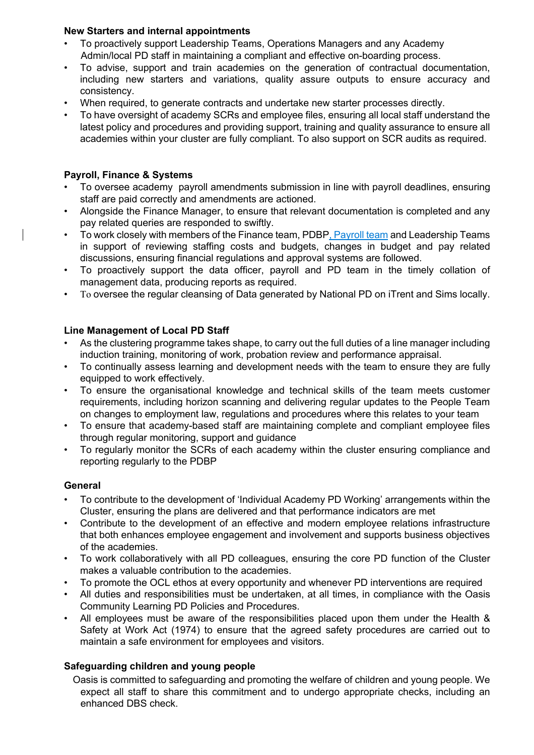## **New Starters and internal appointments**

- To proactively support Leadership Teams, Operations Managers and any Academy Admin/local PD staff in maintaining a compliant and effective on-boarding process.
- To advise, support and train academies on the generation of contractual documentation, including new starters and variations, quality assure outputs to ensure accuracy and consistency.
- When required, to generate contracts and undertake new starter processes directly.
- To have oversight of academy SCRs and employee files, ensuring all local staff understand the latest policy and procedures and providing support, training and quality assurance to ensure all academies within your cluster are fully compliant. To also support on SCR audits as required.

#### **Payroll, Finance & Systems**

- To oversee academy payroll amendments submission in line with payroll deadlines, ensuring staff are paid correctly and amendments are actioned.
- Alongside the Finance Manager, to ensure that relevant documentation is completed and any pay related queries are responded to swiftly.
- To work closely with members of the Finance team, PDBP, Payroll team and Leadership Teams in support of reviewing staffing costs and budgets, changes in budget and pay related discussions, ensuring financial regulations and approval systems are followed.
- To proactively support the data officer, payroll and PD team in the timely collation of management data, producing reports as required.
- To oversee the regular cleansing of Data generated by National PD on iTrent and Sims locally.

#### **Line Management of Local PD Staff**

- As the clustering programme takes shape, to carry out the full duties of a line manager including induction training, monitoring of work, probation review and performance appraisal.
- To continually assess learning and development needs with the team to ensure they are fully equipped to work effectively.
- To ensure the organisational knowledge and technical skills of the team meets customer requirements, including horizon scanning and delivering regular updates to the People Team on changes to employment law, regulations and procedures where this relates to your team
- To ensure that academy-based staff are maintaining complete and compliant employee files through regular monitoring, support and guidance
- To regularly monitor the SCRs of each academy within the cluster ensuring compliance and reporting regularly to the PDBP

#### **General**

- To contribute to the development of 'Individual Academy PD Working' arrangements within the Cluster, ensuring the plans are delivered and that performance indicators are met
- Contribute to the development of an effective and modern employee relations infrastructure that both enhances employee engagement and involvement and supports business objectives of the academies.
- To work collaboratively with all PD colleagues, ensuring the core PD function of the Cluster makes a valuable contribution to the academies.
- To promote the OCL ethos at every opportunity and whenever PD interventions are required
- All duties and responsibilities must be undertaken, at all times, in compliance with the Oasis Community Learning PD Policies and Procedures.
- All employees must be aware of the responsibilities placed upon them under the Health & Safety at Work Act (1974) to ensure that the agreed safety procedures are carried out to maintain a safe environment for employees and visitors.

# **Safeguarding children and young people**

 Oasis is committed to safeguarding and promoting the welfare of children and young people. We expect all staff to share this commitment and to undergo appropriate checks, including an enhanced DBS check.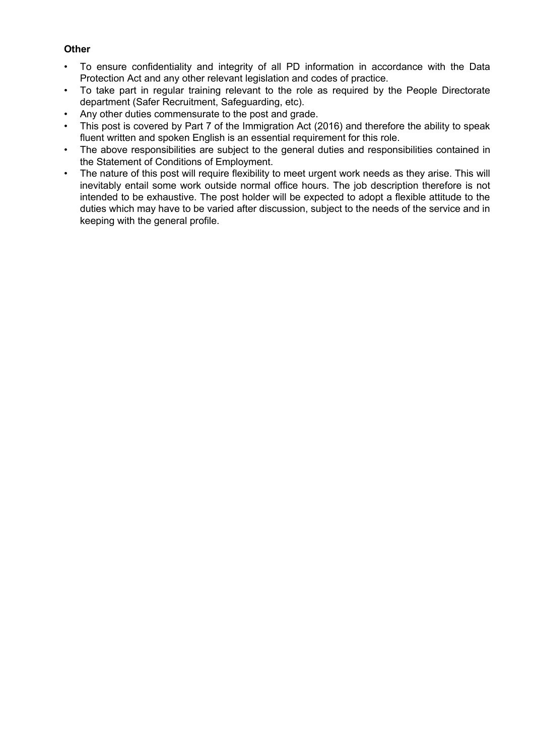#### **Other**

- To ensure confidentiality and integrity of all PD information in accordance with the Data Protection Act and any other relevant legislation and codes of practice.
- To take part in regular training relevant to the role as required by the People Directorate department (Safer Recruitment, Safeguarding, etc).
- Any other duties commensurate to the post and grade.
- This post is covered by Part 7 of the Immigration Act (2016) and therefore the ability to speak fluent written and spoken English is an essential requirement for this role.
- The above responsibilities are subject to the general duties and responsibilities contained in the Statement of Conditions of Employment.
- The nature of this post will require flexibility to meet urgent work needs as they arise. This will inevitably entail some work outside normal office hours. The job description therefore is not intended to be exhaustive. The post holder will be expected to adopt a flexible attitude to the duties which may have to be varied after discussion, subject to the needs of the service and in keeping with the general profile.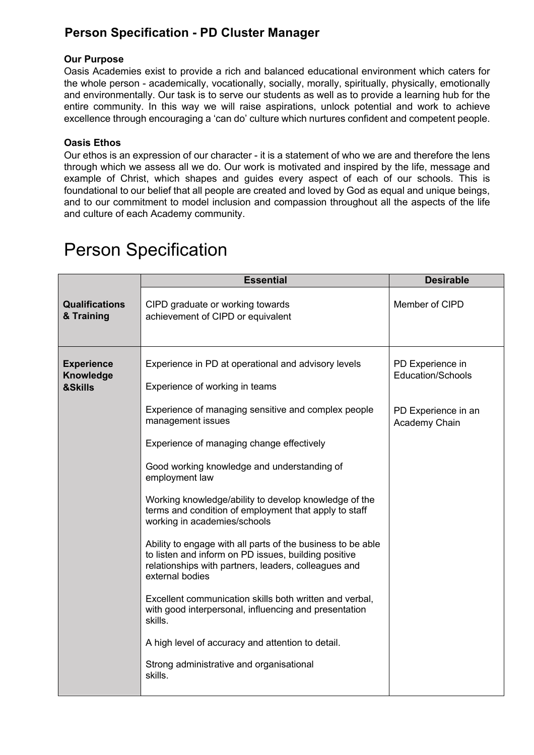# **Person Specification - PD Cluster Manager**

### **Our Purpose**

Oasis Academies exist to provide a rich and balanced educational environment which caters for the whole person - academically, vocationally, socially, morally, spiritually, physically, emotionally and environmentally. Our task is to serve our students as well as to provide a learning hub for the entire community. In this way we will raise aspirations, unlock potential and work to achieve excellence through encouraging a 'can do' culture which nurtures confident and competent people.

## **Oasis Ethos**

Our ethos is an expression of our character - it is a statement of who we are and therefore the lens through which we assess all we do. Our work is motivated and inspired by the life, message and example of Christ, which shapes and guides every aspect of each of our schools. This is foundational to our belief that all people are created and loved by God as equal and unique beings, and to our commitment to model inclusion and compassion throughout all the aspects of the life and culture of each Academy community.

|                                                  | <b>Essential</b>                                                                                                                                                                               | <b>Desirable</b>                             |
|--------------------------------------------------|------------------------------------------------------------------------------------------------------------------------------------------------------------------------------------------------|----------------------------------------------|
| <b>Qualifications</b><br>& Training              | CIPD graduate or working towards<br>achievement of CIPD or equivalent                                                                                                                          | Member of CIPD                               |
| <b>Experience</b><br><b>Knowledge</b><br>&Skills | Experience in PD at operational and advisory levels<br>Experience of working in teams                                                                                                          | PD Experience in<br><b>Education/Schools</b> |
|                                                  | Experience of managing sensitive and complex people<br>management issues                                                                                                                       | PD Experience in an<br>Academy Chain         |
|                                                  | Experience of managing change effectively                                                                                                                                                      |                                              |
|                                                  | Good working knowledge and understanding of<br>employment law                                                                                                                                  |                                              |
|                                                  | Working knowledge/ability to develop knowledge of the<br>terms and condition of employment that apply to staff<br>working in academies/schools                                                 |                                              |
|                                                  | Ability to engage with all parts of the business to be able<br>to listen and inform on PD issues, building positive<br>relationships with partners, leaders, colleagues and<br>external bodies |                                              |
|                                                  | Excellent communication skills both written and verbal,<br>with good interpersonal, influencing and presentation<br>skills.                                                                    |                                              |
|                                                  | A high level of accuracy and attention to detail.                                                                                                                                              |                                              |
|                                                  | Strong administrative and organisational<br>skills.                                                                                                                                            |                                              |

# Person Specification